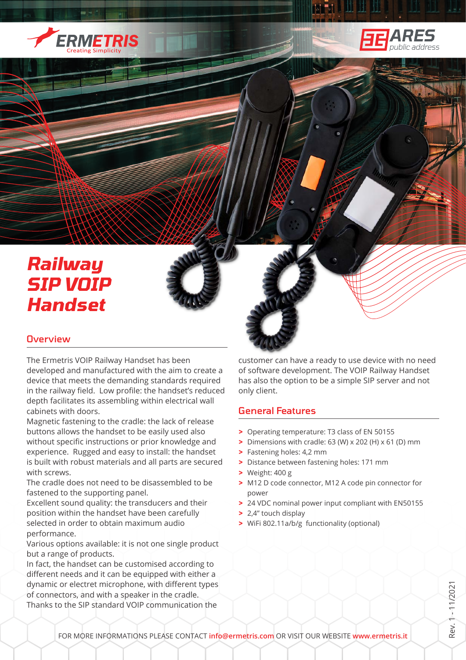



# *Railway SIP VOIP Handset*

# **Overview**

The Ermetris VOIP Railway Handset has been developed and manufactured with the aim to create a device that meets the demanding standards required in the railway field. Low profile: the handset's reduced depth facilitates its assembling within electrical wall cabinets with doors.

Magnetic fastening to the cradle: the lack of release buttons allows the handset to be easily used also without specific instructions or prior knowledge and experience. Rugged and easy to install: the handset is built with robust materials and all parts are secured with screws.

The cradle does not need to be disassembled to be fastened to the supporting panel.

Excellent sound quality: the transducers and their position within the handset have been carefully selected in order to obtain maximum audio performance.

Various options available: it is not one single product but a range of products.

In fact, the handset can be customised according to different needs and it can be equipped with either a dynamic or electret microphone, with different types of connectors, and with a speaker in the cradle. Thanks to the SIP standard VOIP communication the

customer can have a ready to use device with no need of software development. The VOIP Railway Handset has also the option to be a simple SIP server and not only client.

## General Features

- **>** Operating temperature: T3 class of EN 50155
- **>** Dimensions with cradle: 63 (W) x 202 (H) x 61 (D) mm
- **>** Fastening holes: 4,2 mm
- **>** Distance between fastening holes: 171 mm
- **>** Weight: 400 g
- **>** M12 D code connector, M12 A code pin connector for power
- **>** 24 VDC nominal power input compliant with EN50155
- **>** 2,4" touch display
- **>** WiFi 802.11a/b/g functionality (optional)